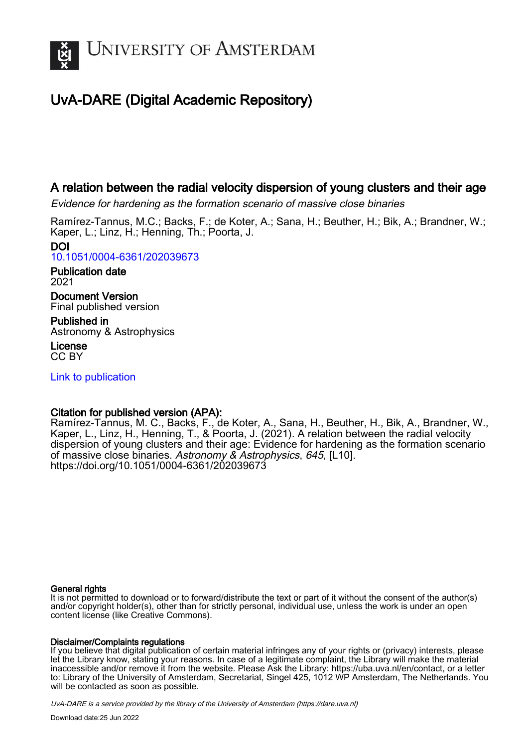

# UvA-DARE (Digital Academic Repository)

# A relation between the radial velocity dispersion of young clusters and their age

Evidence for hardening as the formation scenario of massive close binaries

Ramírez-Tannus, M.C.; Backs, F.; de Koter, A.; Sana, H.; Beuther, H.; Bik, A.; Brandner, W.; Kaper, L.; Linz, H.; Henning, Th.; Poorta, J.

DOI [10.1051/0004-6361/202039673](https://doi.org/10.1051/0004-6361/202039673)

Publication date 2021

Document Version Final published version

Published in Astronomy & Astrophysics

License CC BY

[Link to publication](https://dare.uva.nl/personal/pure/en/publications/a-relation-between-the-radial-velocity-dispersion-of-young-clusters-and-their-age(61f0548e-4a8a-4315-bb98-70dadb820678).html)

# Citation for published version (APA):

Ramírez-Tannus, M. C., Backs, F., de Koter, A., Sana, H., Beuther, H., Bik, A., Brandner, W., Kaper, L., Linz, H., Henning, T., & Poorta, J. (2021). A relation between the radial velocity dispersion of young clusters and their age: Evidence for hardening as the formation scenario of massive close binaries. Astronomy & Astrophysics, 645, [L10]. <https://doi.org/10.1051/0004-6361/202039673>

## General rights

It is not permitted to download or to forward/distribute the text or part of it without the consent of the author(s) and/or copyright holder(s), other than for strictly personal, individual use, unless the work is under an open content license (like Creative Commons).

## Disclaimer/Complaints regulations

If you believe that digital publication of certain material infringes any of your rights or (privacy) interests, please let the Library know, stating your reasons. In case of a legitimate complaint, the Library will make the material inaccessible and/or remove it from the website. Please Ask the Library: https://uba.uva.nl/en/contact, or a letter to: Library of the University of Amsterdam, Secretariat, Singel 425, 1012 WP Amsterdam, The Netherlands. You will be contacted as soon as possible.

UvA-DARE is a service provided by the library of the University of Amsterdam (http*s*://dare.uva.nl)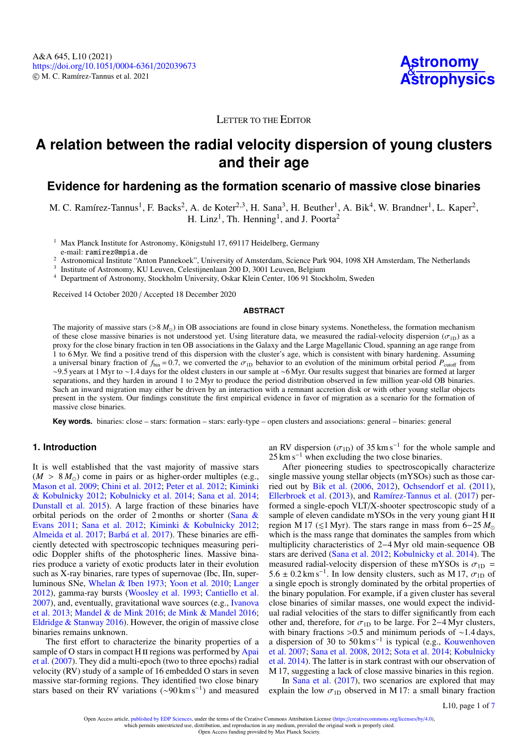

# LETTER TO THE EDITOR

# **A relation between the radial velocity dispersion of young clusters and their age**

# **Evidence for hardening as the formation scenario of massive close binaries**

M. C. Ramírez-Tannus<sup>[1](#page-1-0)</sup>, F. Backs<sup>[2](#page-1-1)</sup>, A. de Koter<sup>2[,3](#page-1-2)</sup>, H. Sana<sup>[3](#page-1-2)</sup>, H. Beuther<sup>1</sup>, A. Bik<sup>[4](#page-1-3)</sup>, W. Brandner<sup>1</sup>, L. Kaper<sup>2</sup>, H. Linz<sup>[1](#page-1-0)</sup>, Th. Henning<sup>1</sup>, and J. Poorta<sup>[2](#page-1-1)</sup>

<span id="page-1-0"></span><sup>1</sup> Max Planck Institute for Astronomy, Königstuhl 17, 69117 Heidelberg, Germany

e-mail: ramirez@mpia.de

<span id="page-1-1"></span><sup>2</sup> Astronomical Institute "Anton Pannekoek", University of Amsterdam, Science Park 904, 1098 XH Amsterdam, The Netherlands<br><sup>3</sup> Institute of Astronomy KUJ enven Celestiinenlaan 200 D 3001 Leuven, Belgium

<span id="page-1-2"></span>Institute of Astronomy, KU Leuven, Celestijnenlaan 200 D, 3001 Leuven, Belgium

<span id="page-1-3"></span><sup>4</sup> Department of Astronomy, Stockholm University, Oskar Klein Center, 106 91 Stockholm, Sweden

Received 14 October 2020 / Accepted 18 December 2020

#### **ABSTRACT**

The majority of massive stars ( $> 8 M_{\odot}$ ) in OB associations are found in close binary systems. Nonetheless, the formation mechanism of these close massive binaries is not understood yet. Using literature data, we measured the radial-velocity dispersion ( $\sigma_{1D}$ ) as a proxy for the close binary fraction in ten OB associations in the Galaxy and the Large Magellanic Cloud, spanning an age range from 1 to 6 Myr. We find a positive trend of this dispersion with the cluster's age, which is consistent with binary hardening. Assuming a universal binary fraction of  $f_{\text{bin}} = 0.7$ , we converted the  $\sigma_{1D}$  behavior to an evolution of the minimum orbital period  $P_{\text{cutoff}}$  from ∼9.5 years at 1 Myr to ∼1.4 days for the oldest clusters in our sample at ∼6 Myr. Our results suggest that binaries are formed at larger separations, and they harden in around 1 to 2 Myr to produce the period distribution observed in few million year-old OB binaries. Such an inward migration may either be driven by an interaction with a remnant accretion disk or with other young stellar objects present in the system. Our findings constitute the first empirical evidence in favor of migration as a scenario for the formation of massive close binaries.

**Key words.** binaries: close – stars: formation – stars: early-type – open clusters and associations: general – binaries: general

#### **1. Introduction**

It is well established that the vast majority of massive stars  $(M > 8 M_{\odot})$  come in pairs or as higher-order multiples (e.g., [Mason et al.](#page-5-0) [2009;](#page-5-0) [Chini et al.](#page-5-1) [2012;](#page-5-1) [Peter et al.](#page-5-2) [2012;](#page-5-2) [Kiminki](#page-5-3) [& Kobulnicky](#page-5-3) [2012;](#page-5-3) [Kobulnicky et al.](#page-5-4) [2014;](#page-5-4) [Sana et al.](#page-5-5) [2014;](#page-5-5) [Dunstall et al.](#page-5-6) [2015\)](#page-5-6). A large fraction of these binaries have orbital periods on the order of 2 months or shorter [\(Sana &](#page-5-7) [Evans](#page-5-7) [2011;](#page-5-7) [Sana et al.](#page-5-8) [2012;](#page-5-8) [Kiminki & Kobulnicky](#page-5-3) [2012;](#page-5-3) [Almeida et al.](#page-5-9) [2017;](#page-5-9) [Barbá et al.](#page-5-10) [2017\)](#page-5-10). These binaries are efficiently detected with spectroscopic techniques measuring periodic Doppler shifts of the photospheric lines. Massive binaries produce a variety of exotic products later in their evolution such as X-ray binaries, rare types of supernovae (Ibc, IIn, superluminous SNe, [Whelan & Iben](#page-5-11) [1973;](#page-5-11) [Yoon et al.](#page-5-12) [2010;](#page-5-12) [Langer](#page-5-13) [2012\)](#page-5-13), gamma-ray bursts [\(Woosley et al.](#page-5-14) [1993;](#page-5-14) [Cantiello et al.](#page-5-15) [2007\)](#page-5-15), and, eventually, gravitational wave sources (e.g., [Ivanova](#page-5-16) [et al.](#page-5-16) [2013;](#page-5-16) [Mandel & de Mink](#page-5-17) [2016;](#page-5-17) [de Mink & Mandel](#page-5-18) [2016;](#page-5-18) [Eldridge & Stanway](#page-5-19) [2016\)](#page-5-19). However, the origin of massive close binaries remains unknown.

The first effort to characterize the binarity properties of a sample of O stars in compact H II regions was performed by [Apai](#page-5-20) [et al.](#page-5-20) [\(2007\)](#page-5-20). They did a multi-epoch (two to three epochs) radial velocity (RV) study of a sample of 16 embedded O stars in seven massive star-forming regions. They identified two close binary stars based on their RV variations (~90 km s<sup>-1</sup>) and measured

an RV dispersion ( $\sigma_{1D}$ ) of 35 km s<sup>-1</sup> for the whole sample and 25 km s<sup>-1</sup> when excluding the two close binaries  $25 \text{ km s}^{-1}$  when excluding the two close binaries.

After pioneering studies to spectroscopically characterize single massive young stellar objects (mYSOs) such as those carried out by [Bik et al.](#page-5-21) [\(2006,](#page-5-21) [2012\)](#page-5-22), [Ochsendorf et al.](#page-5-23) [\(2011\)](#page-5-23), [Ellerbroek et al.](#page-5-24) [\(2013\)](#page-5-24), and [Ramírez-Tannus et al.](#page-5-25) [\(2017\)](#page-5-25) performed a single-epoch VLT/X-shooter spectroscopic study of a sample of eleven candidate mYSOs in the very young giant H II region M 17 ( $\leq 1$  Myr). The stars range in mass from 6–25  $M_{\odot}$ which is the mass range that dominates the samples from which multiplicity characteristics of 2−4 Myr old main-sequence OB stars are derived [\(Sana et al.](#page-5-8) [2012;](#page-5-8) [Kobulnicky et al.](#page-5-4) [2014\)](#page-5-4). The measured radial-velocity dispersion of these mYSOs is  $\sigma_{1D}$  =  $5.6 \pm 0.2 \text{ km s}^{-1}$ . In low density clusters, such as M 17,  $\sigma_{1D}$  of a single epoch is strongly dominated by the orbital properties of a single epoch is strongly dominated by the orbital properties of the binary population. For example, if a given cluster has several close binaries of similar masses, one would expect the individual radial velocities of the stars to differ significantly from each other and, therefore, for  $\sigma_{1D}$  to be large. For 2–4 Myr clusters, with binary fractions >0.5 and minimum periods of ~1.4 days, with binary fractions >0.5 and minimum periods of ~1.4 days, a dispersion of 30 to 50 km s<sup>-1</sup> is typical (e.g., [Kouwenhoven](#page-5-26) [et al.](#page-5-26) [2007;](#page-5-26) [Sana et al.](#page-5-27) [2008,](#page-5-27) [2012;](#page-5-8) [Sota et al.](#page-5-28) [2014;](#page-5-28) [Kobulnicky](#page-5-4) [et al.](#page-5-4) [2014\)](#page-5-4). The latter is in stark contrast with our observation of M 17, suggesting a lack of close massive binaries in this region.

In [Sana et al.](#page-5-29) [\(2017\)](#page-5-29), two scenarios are explored that may explain the low  $\sigma_{1D}$  observed in M 17: a small binary fraction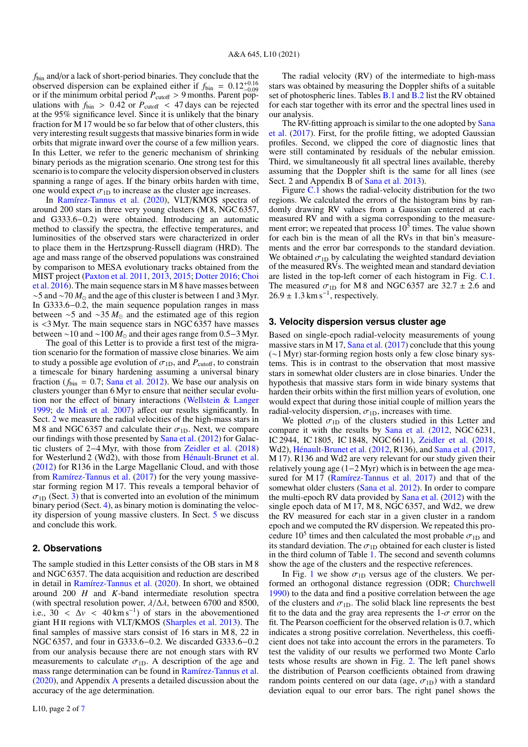*f*bin and/or a lack of short-period binaries. They conclude that the observed dispersion can be explained either if  $f_{\text{bin}} = 0.12^{+0.16}_{-0.09}$ or if the minimum orbital period  $P_{\text{cutoff}} > 9$  months. Parent populations with  $f_{\text{bin}} > 0.42$  or  $P_{\text{cutoff}} < 47$  days can be rejected at the 95% significance level. Since it is unlikely that the binary fraction for M 17 would be so far below that of other clusters, this very interesting result suggests that massive binaries form in wide orbits that migrate inward over the course of a few million years. In this Letter, we refer to the generic mechanism of shrinking binary periods as the migration scenario. One strong test for this scenario is to compare the velocity dispersion observed in clusters spanning a range of ages. If the binary orbits harden with time, one would expect  $\sigma_{1D}$  to increase as the cluster age increases.

In [Ramírez-Tannus et al.](#page-5-30) [\(2020\)](#page-5-30), VLT/KMOS spectra of around 200 stars in three very young clusters (M 8, NGC 6357, and G333.6−0.2) were obtained. Introducing an automatic method to classify the spectra, the effective temperatures, and luminosities of the observed stars were characterized in order to place them in the Hertzsprung-Russell diagram (HRD). The age and mass range of the observed populations was constrained by comparison to MESA evolutionary tracks obtained from the MIST project [\(Paxton et al.](#page-5-31) [2011,](#page-5-31) [2013,](#page-5-32) [2015;](#page-5-33) [Dotter](#page-5-34) [2016;](#page-5-34) [Choi](#page-5-35) [et al.](#page-5-35) [2016\)](#page-5-35). The main sequence stars in M 8 have masses between ∼5 and ~70  $M_{\odot}$  and the age of this cluster is between 1 and 3 Myr. In G333.6−0.2, the main sequence population ranges in mass between  $\sim$ 5 and  $\sim$ 35  $M_{\odot}$  and the estimated age of this region is <3 Myr. The main sequence stars in NGC 6357 have masses between ~10 and ~100  $M_{\odot}$  and their ages range from 0.5–3 Myr.

The goal of this Letter is to provide a first test of the migration scenario for the formation of massive close binaries. We aim to study a possible age evolution of  $\sigma_{1D}$ , and  $P_{\text{cutoff}}$ , to constrain a timescale for binary hardening assuming a universal binary fraction ( $f_{\text{bin}} = 0.7$ ; [Sana et al.](#page-5-8) [2012\)](#page-5-8). We base our analysis on clusters younger than 6 Myr to ensure that neither secular evolution nor the effect of binary interactions [\(Wellstein & Langer](#page-5-36) [1999;](#page-5-36) [de Mink et al.](#page-5-37) [2007\)](#page-5-37) affect our results significantly. In Sect. [2](#page-2-0) we measure the radial velocities of the high-mass stars in M 8 and NGC 6357 and calculate their  $\sigma_{1D}$ . Next, we compare our findings with those presented by [Sana et al.](#page-5-8) [\(2012\)](#page-5-8) for Galactic clusters of 2−4 Myr, with those from [Zeidler et al.](#page-5-38) [\(2018\)](#page-5-38) for Westerlund 2 (Wd2), with those from [Hénault-Brunet et al.](#page-5-39) [\(2012\)](#page-5-39) for R136 in the Large Magellanic Cloud, and with those from [Ramírez-Tannus et al.](#page-5-25) [\(2017\)](#page-5-25) for the very young massivestar forming region M 17. This reveals a temporal behavior of  $\sigma_{1D}$  (Sect. [3\)](#page-2-1) that is converted into an evolution of the minimum binary period (Sect. [4\)](#page-3-0), as binary motion is dominating the velocity dispersion of young massive clusters. In Sect. [5](#page-4-0) we discuss and conclude this work.

#### <span id="page-2-0"></span>**2. Observations**

The sample studied in this Letter consists of the OB stars in M 8 and NGC 6357. The data acquisition and reduction are described in detail in [Ramírez-Tannus et al.](#page-5-30) [\(2020\)](#page-5-30). In short, we obtained around 200 *H* and *K*-band intermediate resolution spectra (with spectral resolution power,  $\lambda/\Delta\lambda$ , between 6700 and 8500, i.e.,  $30 < \Delta v < 40 \text{ km s}^{-1}$  of stars in the abovementioned viant H II regions with VLT/KMOS (Sharples et al. 2013). The giant H<sub>II</sub> regions with VLT/KMOS [\(Sharples et al.](#page-5-40) [2013\)](#page-5-40). The final samples of massive stars consist of 16 stars in M 8, 22 in NGC 6357, and four in G333.6−0.2. We discarded G333.6−0.2 from our analysis because there are not enough stars with RV measurements to calculate  $\sigma_{1D}$ . A description of the age and mass range determination can be found in [Ramírez-Tannus et al.](#page-5-30) [\(2020\)](#page-5-30), and Appendix [A](#page-6-0) presents a detailed discussion about the accuracy of the age determination.

The radial velocity (RV) of the intermediate to high-mass stars was obtained by measuring the Doppler shifts of a suitable set of photospheric lines. Tables [B.1](#page-6-1) and [B.2](#page-6-2) list the RV obtained for each star together with its error and the spectral lines used in our analysis.

The RV-fitting approach is similar to the one adopted by [Sana](#page-5-29) [et al.](#page-5-29) [\(2017\)](#page-5-29). First, for the profile fitting, we adopted Gaussian profiles. Second, we clipped the core of diagnostic lines that were still contaminated by residuals of the nebular emission. Third, we simultaneously fit all spectral lines available, thereby assuming that the Doppler shift is the same for all lines (see Sect. 2 and Appendix B of [Sana et al.](#page-5-41) [2013\)](#page-5-41).

Figure [C.1](#page-7-1) shows the radial-velocity distribution for the two regions. We calculated the errors of the histogram bins by randomly drawing RV values from a Gaussian centered at each measured RV and with a sigma corresponding to the measurement error; we repeated that process  $10^5$  times. The value shown for each bin is the mean of all the RVs in that bin's measurements and the error bar corresponds to the standard deviation. We obtained  $\sigma_{1D}$  by calculating the weighted standard deviation of the measured RVs. The weighted mean and standard deviation are listed in the top-left corner of each histogram in Fig. [C.1.](#page-7-1) The measured  $\sigma_{1D}$  for M 8 and NGC 6357 are 32.7  $\pm$  2.6 and  $26.9 \pm 1.3$  km s<sup>-1</sup>, respectively.

#### <span id="page-2-1"></span>**3. Velocity dispersion versus cluster age**

Based on single-epoch radial-velocity measurements of young massive stars in M 17, [Sana et al.](#page-5-29) [\(2017\)](#page-5-29) conclude that this young (∼1 Myr) star-forming region hosts only a few close binary systems. This is in contrast to the observation that most massive stars in somewhat older clusters are in close binaries. Under the hypothesis that massive stars form in wide binary systems that harden their orbits within the first million years of evolution, one would expect that during those initial couple of million years the radial-velocity dispersion,  $\sigma_{1D}$ , increases with time.

We plotted  $\sigma_{1D}$  of the clusters studied in this Letter and compare it with the results by [Sana et al.](#page-5-8) [\(2012,](#page-5-8) NGC 6231, IC 2944, IC 1805, IC 1848, NGC 6611), [Zeidler et al.](#page-5-38) [\(2018,](#page-5-38) Wd2), [Hénault-Brunet et al.](#page-5-39) [\(2012,](#page-5-39) R136), and [Sana et al.](#page-5-29) [\(2017,](#page-5-29) M 17). R136 and Wd2 are very relevant for our study given their relatively young age (1−2 Myr) which is in between the age measured for M 17 [\(Ramírez-Tannus et al.](#page-5-25) [2017\)](#page-5-25) and that of the somewhat older clusters [\(Sana et al.](#page-5-8) [2012\)](#page-5-8). In order to compare the multi-epoch RV data provided by [Sana et al.](#page-5-8) [\(2012\)](#page-5-8) with the single epoch data of M 17, M 8, NGC 6357, and Wd2, we drew the RV measured for each star in a given cluster in a random epoch and we computed the RV dispersion. We repeated this procedure 10<sup>5</sup> times and then calculated the most probable  $\sigma_{1D}$  and<br>its standard deviation. The  $\sigma_{1D}$  obtained for each cluster is listed its standard deviation. The  $\sigma_{1D}$  obtained for each cluster is listed in the third column of Table [1.](#page-3-1) The second and seventh columns show the age of the clusters and the respective references.

In Fig. [1](#page-3-2) we show  $\sigma_{1D}$  versus age of the clusters. We performed an orthogonal distance regression (ODR; [Churchwell](#page-5-42) [1990\)](#page-5-42) to the data and find a positive correlation between the age of the clusters and  $\sigma_{1D}$ . The solid black line represents the best fit to the data and the gray area represents the  $1-\sigma$  error on the fit. The Pearson coefficient for the observed relation is 0.7, which indicates a strong positive correlation. Nevertheless, this coefficient does not take into account the errors in the parameters. To test the validity of our results we performed two Monte Carlo tests whose results are shown in Fig. [2.](#page-3-3) The left panel shows the distribution of Pearson coefficients obtained from drawing random points centered on our data (age,  $\sigma_{1D}$ ) with a standard deviation equal to our error bars. The right panel shows the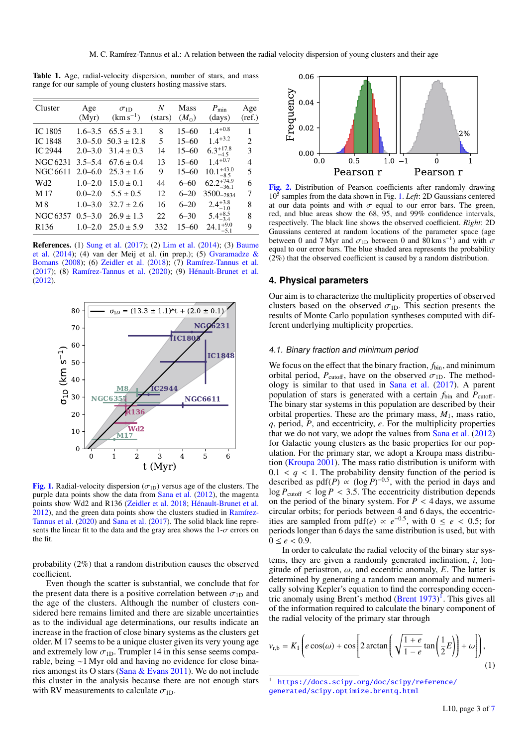<span id="page-3-1"></span>Table 1. Age, radial-velocity dispersion, number of stars, and mass range for our sample of young clusters hosting massive stars.

| Cluster          | Age         | $\sigma_{1D}$               | N       | Mass          | $P_{\min}$             | Age    |
|------------------|-------------|-----------------------------|---------|---------------|------------------------|--------|
|                  | (Myr)       | $(km s^{-1})$               | (stars) | $(M_{\odot})$ | (days)                 | (ref.) |
| IC 1805          |             | $1.6 - 3.5$ $65.5 \pm 3.1$  | 8       | $15 - 60$     | $1.4^{+0.8}$           | 1      |
| <b>IC1848</b>    |             | $3.0 - 5.0$ $50.3 \pm 12.8$ | 5       | $15 - 60$     | $1.4 + 3.2$            | 2      |
| <b>IC 2944</b>   | $2.0 - 3.0$ | $31.4 \pm 0.3$              | 14      | $15 - 60$     | $6.3^{+17.8}_{-4.5}$   | 3      |
| <b>NGC 6231</b>  | $3.5 - 5.4$ | $67.6 \pm 0.4$              | 13      | $15 - 60$     | $1.4^{+0.7}$           | 4      |
| NGC 6611         | $2.0 - 6.0$ | $25.3 \pm 1.6$              | 9       | $15 - 60$     | $10.1_{-8.5}^{+43.0}$  | 5      |
| Wd2              | $1.0 - 2.0$ | $15.0 \pm 0.1$              | 44      | $6 - 60$      | $62.2^{+74.9}_{-36.1}$ | 6      |
| M 17             | $0.0 - 2.0$ | $5.5 \pm 0.5$               | 12      | $6 - 20$      | 3500-2834              | 7      |
| M 8              | $1.0 - 3.0$ | $32.7 \pm 2.6$              | 16      | $6 - 20$      | $2.4^{+3.8}_{-1.0}$    | 8      |
| NGC 6357         | $0.5 - 3.0$ | $26.9 \pm 1.3$              | 22      | $6 - 30$      | $5.4^{+8.5}_{-3.4}$    | 8      |
| R <sub>136</sub> |             | $1.0 - 2.0$ $25.0 \pm 5.9$  | 332     | $15 - 60$     | $24.1^{+9.0}_{-5.1}$   | 9      |
|                  |             |                             |         |               |                        |        |

References. (1) [Sung et al.](#page-5-43) [\(2017\)](#page-5-43); (2) [Lim et al.](#page-5-44) [\(2014\)](#page-5-44); (3) [Baume](#page-5-45) [et al.](#page-5-45) [\(2014\)](#page-5-45); (4) van der Meij et al. (in prep.); (5) [Gvaramadze &](#page-5-46) [Bomans](#page-5-46) [\(2008\)](#page-5-46); (6) [Zeidler et al.](#page-5-38) [\(2018\)](#page-5-38); (7) [Ramírez-Tannus et al.](#page-5-25) [\(2017\)](#page-5-25); (8) [Ramírez-Tannus et al.](#page-5-30) [\(2020\)](#page-5-30); (9) [Hénault-Brunet et al.](#page-5-39) [\(2012\)](#page-5-39).



<span id="page-3-2"></span>[Fig. 1.](https://dexter.edpsciences.org/applet.php?DOI=10.1051/0004-6361/202039673&pdf_id=1) Radial-velocity dispersion ( $\sigma_{1D}$ ) versus age of the clusters. The purple data points show the data from [Sana et al.](#page-5-8) [\(2012\)](#page-5-8), the magenta points show Wd2 and R136 [\(Zeidler et al.](#page-5-38) [2018;](#page-5-38) [Hénault-Brunet et al.](#page-5-39) [2012\)](#page-5-39), and the green data points show the clusters studied in [Ramírez-](#page-5-30)[Tannus et al.](#page-5-30) [\(2020\)](#page-5-30) and [Sana et al.](#page-5-29) [\(2017\)](#page-5-29). The solid black line represents the linear fit to the data and the gray area shows the  $1-\sigma$  errors on the fit.

probability (2%) that a random distribution causes the observed coefficient.

Even though the scatter is substantial, we conclude that for the present data there is a positive correlation between  $\sigma_{1D}$  and the age of the clusters. Although the number of clusters considered here remains limited and there are sizable uncertainties as to the individual age determinations, our results indicate an increase in the fraction of close binary systems as the clusters get older. M 17 seems to be a unique cluster given its very young age and extremely low  $\sigma_{1D}$ . Trumpler 14 in this sense seems comparable, being ∼1 Myr old and having no evidence for close binaries amongst its O stars [\(Sana & Evans](#page-5-7) [2011\)](#page-5-7). We do not include this cluster in the analysis because there are not enough stars with RV measurements to calculate  $\sigma_{1D}$ .



<span id="page-3-3"></span>[Fig. 2.](https://dexter.edpsciences.org/applet.php?DOI=10.1051/0004-6361/202039673&pdf_id=2) Distribution of Pearson coefficients after randomly drawing 10<sup>5</sup> samples from the data shown in Fig. [1.](#page-3-2) *Left*: 2D Gaussians centered at our data points and with  $\sigma$  equal to our error bars. The green, red, and blue areas show the 68, 95, and 99% confidence intervals, respectively. The black line shows the observed coefficient. *Right*: 2D Gaussians centered at random locations of the parameter space (age between 0 and 7 Myr and  $\sigma_{1D}$  between 0 and 80 km s<sup>−1</sup>) and with  $\sigma$  equal to our error hars. The blue shaded area represents the probability equal to our error bars. The blue shaded area represents the probability (2%) that the observed coefficient is caused by a random distribution.

#### <span id="page-3-0"></span>**4. Physical parameters**

Our aim is to characterize the multiplicity properties of observed clusters based on the observed  $\sigma_{1D}$ . This section presents the results of Monte Carlo population syntheses computed with different underlying multiplicity properties.

#### 4.1. Binary fraction and minimum period

We focus on the effect that the binary fraction,  $f_{\text{bin}}$ , and minimum orbital period,  $P_{\text{cutoff}}$ , have on the observed  $\sigma_{1D}$ . The methodology is similar to that used in [Sana et al.](#page-5-29) [\(2017\)](#page-5-29). A parent population of stars is generated with a certain  $f_{\text{bin}}$  and  $P_{\text{cutoff}}$ . The binary star systems in this population are described by their orbital properties. These are the primary mass,  $M_1$ , mass ratio, *q*, period, *P*, and eccentricity, *e*. For the multiplicity properties that we do not vary, we adopt the values from [Sana et al.](#page-5-8) [\(2012\)](#page-5-8) for Galactic young clusters as the basic properties for our population. For the primary star, we adopt a Kroupa mass distribution [\(Kroupa](#page-5-47) [2001\)](#page-5-47). The mass ratio distribution is uniform with 0.1 < *q* < 1. The probability density function of the period is described as pdf(*P*) ∝ (log *P*)<sup>-0.5</sup>, with the period in days and  $\log P_{\text{cutoff}} < \log P < 3.5$ . The eccentricity distribution depends on the period of the binary system. For  $\vec{P}$  < 4 days, we assume circular orbits; for periods between 4 and 6 days, the eccentricities are sampled from  $pdf(e) \propto e^{-0.5}$ , with  $0 \leq e < 0.5$ ; for periods longer than 6 days the same distribution is used but with periods longer than 6 days the same distribution is used, but with  $0 \leq e \leq 0.9$ .

In order to calculate the radial velocity of the binary star systems, they are given a randomly generated inclination, *i*, longitude of periastron,  $\omega$ , and eccentric anomaly, *E*. The latter is determined by generating a random mean anomaly and numerically solving Kepler's equation to find the corresponding eccentric anomaly using Brent's method  $(Brent 1973)^T$  $(Brent 1973)^T$  $(Brent 1973)^T$  $(Brent 1973)^T$ . This gives all of the information required to calculate the binary component of the radial velocity of the primary star through

$$
v_{\rm r,b} = K_1 \left( e \cos(\omega) + \cos \left[ 2 \arctan \left( \sqrt{\frac{1+e}{1-e}} \tan \left( \frac{1}{2} E \right) \right) + \omega \right] \right),\tag{1}
$$

<span id="page-3-4"></span><sup>1</sup> [https://docs.scipy.org/doc/scipy/reference/](https://docs.scipy.org/doc/scipy/reference/generated/scipy.optimize.brentq.html) [generated/scipy.optimize.brentq.html](https://docs.scipy.org/doc/scipy/reference/generated/scipy.optimize.brentq.html)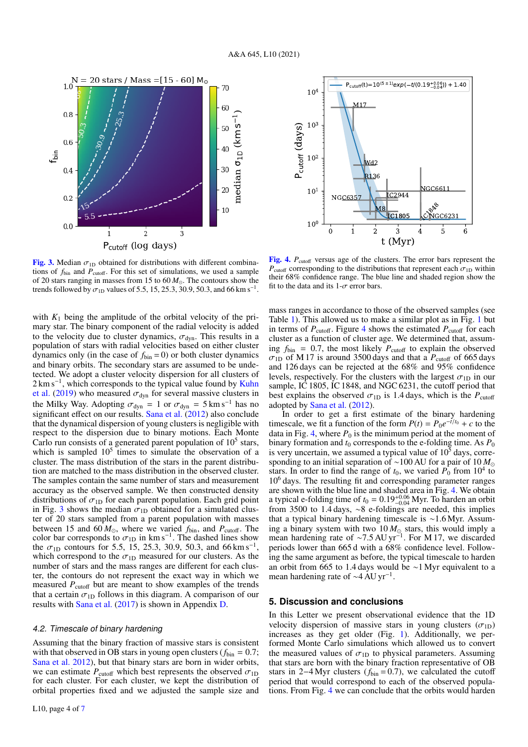

<span id="page-4-1"></span>[Fig. 3.](https://dexter.edpsciences.org/applet.php?DOI=10.1051/0004-6361/202039673&pdf_id=3) Median  $\sigma_{1D}$  obtained for distributions with different combinations of  $f_{\text{bin}}$  and  $P_{\text{cutoff}}$ . For this set of simulations, we used a sample of 20 stars ranging in masses from 15 to  $60 M_{\odot}$ . The contours show the trends followed by  $\sigma_{\text{1D}}$  values of 5.5, 15, 25.3, 30.9, 50.3, and 66 km s<sup>-1</sup>.

with  $K_1$  being the amplitude of the orbital velocity of the primary star. The binary component of the radial velocity is added to the velocity due to cluster dynamics,  $\sigma_{dyn}$ . This results in a population of stars with radial velocities based on either cluster dynamics only (in the case of  $f_{\text{bin}} = 0$ ) or both cluster dynamics and binary orbits. The secondary stars are assumed to be undetected. We adopt a cluster velocity dispersion for all clusters of 2 km s<sup>-1</sup>, which corresponds to the typical value found by [Kuhn](#page-5-49) [et al.](#page-5-49) [\(2019\)](#page-5-49) who measured  $\sigma_{dyn}$  for several massive clusters in the Milky Way. Adopting  $\sigma_{dyn} = 1$  or  $\sigma_{dyn} = 5 \text{ km s}^{-1}$  has no significant effect on our results. [Sana et al.](#page-5-8) [\(2012\)](#page-5-8) also conclude that the dynamical dispersion of young clusters is negligible with respect to the dispersion due to binary motions. Each Monte Carlo run consists of a generated parent population of  $10<sup>5</sup>$  stars, which is sampled  $10<sup>5</sup>$  times to simulate the observation of a cluster. The mass distribution of the stars in the parent distribution are matched to the mass distribution in the observed cluster. The samples contain the same number of stars and measurement accuracy as the observed sample. We then constructed density distributions of  $\sigma_{1D}$  for each parent population. Each grid point in Fig. [3](#page-4-1) shows the median  $\sigma_{1D}$  obtained for a simulated cluster of 20 stars sampled from a parent population with masses between 15 and  $60 M_{\odot}$ , where we varied  $f_{\text{bin}}$ , and  $P_{\text{cutoff}}$ . The color bar corresponds to  $\sigma_{1D}$  in km s<sup>-1</sup>. The dashed lines show<br>the  $\sigma_{1D}$  contours for 5.5, 15, 25.3, 30.9, 50.3, and 66 km s<sup>-1</sup> the  $\sigma_{1D}$  contours for 5.5, 15, 25.3, 30.9, 50.3, and 66 km s<sup>-1</sup>, which correspond to the  $\sigma_{1D}$  measured for our clusters. As the which correspond to the  $\sigma_{1D}$  measured for our clusters. As the number of stars and the mass ranges are different for each cluster, the contours do not represent the exact way in which we measured  $P_{\text{cutoff}}$  but are meant to show examples of the trends that a certain  $\sigma_{1D}$  follows in this diagram. A comparison of our results with [Sana et al.](#page-5-29) [\(2017\)](#page-5-29) is shown in Appendix [D.](#page-7-2)

#### 4.2. Timescale of binary hardening

Assuming that the binary fraction of massive stars is consistent with that observed in OB stars in young open clusters ( $f_{\text{bin}} = 0.7$ ; [Sana et al.](#page-5-8) [2012\)](#page-5-8), but that binary stars are born in wider orbits, we can estimate  $P_{\text{cutoff}}$  which best represents the observed  $\sigma_{1D}$ for each cluster. For each cluster, we kept the distribution of orbital properties fixed and we adjusted the sample size and



<span id="page-4-2"></span>[Fig. 4.](https://dexter.edpsciences.org/applet.php?DOI=10.1051/0004-6361/202039673&pdf_id=4)  $P_{\text{cutoff}}$  versus age of the clusters. The error bars represent the  $P_{\text{cutoff}}$  corresponding to the distributions that represent each  $\sigma_{1D}$  within their 68% confidence range. The blue line and shaded region show the fit to the data and its  $1-\sigma$  error bars.

mass ranges in accordance to those of the observed samples (see Table [1\)](#page-3-1). This allowed us to make a similar plot as in Fig. [1](#page-3-2) but in terms of  $P_{\text{cutoff}}$ . Figure [4](#page-4-2) shows the estimated  $P_{\text{cutoff}}$  for each cluster as a function of cluster age. We determined that, assuming  $f_{\text{bin}} = 0.7$ , the most likely  $P_{\text{cutoff}}$  to explain the observed  $\sigma_{\text{LD}}$  of M 17 is around 3500 days and that a  $P_{\text{cutoff}}$  of 665 days  $\sigma_{1D}$  of M 17 is around 3500 days and that a  $P_{\text{cutoff}}$  of 665 days<br>and 126 days can be rejected at the 68% and 95% confidence and 126 days can be rejected at the 68% and 95% confidence levels, respectively. For the clusters with the largest  $\sigma_{1D}$  in our sample, IC 1805, IC 1848, and NGC 6231, the cutoff period that best explains the observed  $\sigma_{1D}$  is 1.4 days, which is the  $P_{\text{cutoff}}$ adopted by [Sana et al.](#page-5-8) [\(2012\)](#page-5-8).

In order to get a first estimate of the binary hardening timescale, we fit a function of the form  $P(t) = P_0 e^{-t/t_0} + c$  to the data in Fig. [4,](#page-4-2) where  $P_0$  is the minimum period at the moment of binary formation and  $t_0$  corresponds to the e-folding time. As  $P_0$ is very uncertain, we assumed a typical value of  $10<sup>5</sup>$  days, corresponding to an initial separation of ∼100 AU for a pair of 10 *M* stars. In order to find the range of  $t_0$ , we varied  $P_0$  from  $10^4$  to 10<sup>6</sup> days. The resulting fit and corresponding parameter ranges are shown with the blue line and shaded area in Fig. [4.](#page-4-2) We obtain a typical e-folding time of  $t_0 = 0.19^{+0.06}_{-0.04}$  Myr. To harden an orbit from 3500 to 1.4 days.  $\sim 8$  e-foldings are needed, this implies from 3500 to 1.4 days, ∼8 e-foldings are needed, this implies that a typical binary hardening timescale is ∼1.6 Myr. Assuming a binary system with two  $10 M_{\odot}$  stars, this would imply a mean hardening rate of ~7.5 AU yr<sup>-1</sup>. For M 17, we discarded<br>periods lower than 665 d with a 68% confidence level. Followperiods lower than 665 d with a 68% confidence level. Following the same argument as before, the typical timescale to harden an orbit from 665 to 1.4 days would be ∼1 Myr equivalent to a mean hardening rate of ~4 AU yr<sup>-1</sup>.

#### <span id="page-4-0"></span>**5. Discussion and conclusions**

In this Letter we present observational evidence that the 1D velocity dispersion of massive stars in young clusters  $(\sigma_{1D})$ increases as they get older (Fig. [1\)](#page-3-2). Additionally, we performed Monte Carlo simulations which allowed us to convert the measured values of  $\sigma_{1D}$  to physical parameters. Assuming that stars are born with the binary fraction representative of OB stars in 2−4 Myr clusters (*f*bin = 0.7), we calculated the cutoff period that would correspond to each of the observed populations. From Fig. [4](#page-4-2) we can conclude that the orbits would harden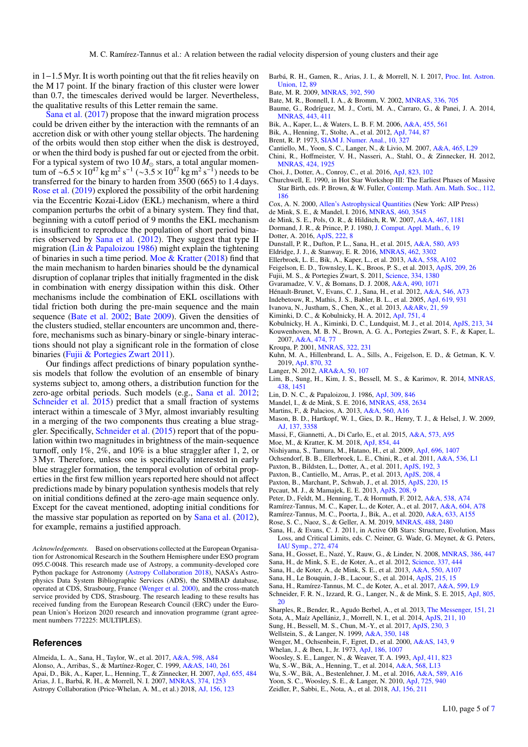in 1−1.5 Myr. It is worth pointing out that the fit relies heavily on the M 17 point. If the binary fraction of this cluster were lower than 0.7, the timescales derived would be larger. Nevertheless, the qualitative results of this Letter remain the same.

[Sana et al.](#page-5-29) [\(2017\)](#page-5-29) propose that the inward migration process could be driven either by the interaction with the remnants of an accretion disk or with other young stellar objects. The hardening of the orbits would then stop either when the disk is destroyed, or when the third body is pushed far out or ejected from the orbit. For a typical system of two  $10 M_{\odot}$  stars, a total angular momentum of ~6.5 × 10<sup>47</sup> kg m<sup>2</sup> s<sup>-1</sup> (~3.5 × 10<sup>47</sup> kg m<sup>2</sup> s<sup>-1</sup>) needs to be<br>transferred for the binary to harden from 3500 (665) to 1.4 days transferred for the binary to harden from 3500 (665) to 1.4 days. [Rose et al.](#page-5-50) [\(2019\)](#page-5-50) explored the possibility of the orbit hardening via the Eccentric Kozai-Lidov (EKL) mechanism, where a third companion perturbs the orbit of a binary system. They find that, beginning with a cutoff period of 9 months the EKL mechanism is insufficient to reproduce the population of short period binaries observed by [Sana et al.](#page-5-8) [\(2012\)](#page-5-8). They suggest that type II migration [\(Lin & Papaloizou](#page-5-51) [1986\)](#page-5-51) might explain the tightening of binaries in such a time period. [Moe & Kratter](#page-5-52) [\(2018\)](#page-5-52) find that the main mechanism to harden binaries should be the dynamical disruption of coplanar triples that initially fragmented in the disk in combination with energy dissipation within this disk. Other mechanisms include the combination of EKL oscillations with tidal friction both during the pre-main sequence and the main sequence [\(Bate et al.](#page-5-53) [2002;](#page-5-53) [Bate](#page-5-54) [2009\)](#page-5-54). Given the densities of the clusters studied, stellar encounters are uncommon and, therefore, mechanisms such as binary-binary or single-binary interactions should not play a significant role in the formation of close binaries [\(Fujii & Portegies Zwart](#page-5-55) [2011\)](#page-5-55).

Our findings affect predictions of binary population synthesis models that follow the evolution of an ensemble of binary systems subject to, among others, a distribution function for the zero-age orbital periods. Such models (e.g., [Sana et al.](#page-5-8) [2012;](#page-5-8) [Schneider et al.](#page-5-56) [2015\)](#page-5-56) predict that a small fraction of systems interact within a timescale of 3 Myr, almost invariably resulting in a merging of the two components thus creating a blue straggler. Specifically, [Schneider et al.](#page-5-56) [\(2015\)](#page-5-56) report that of the population within two magnitudes in brightness of the main-sequence turnoff, only 1%, 2%, and 10% is a blue straggler after 1, 2, or 3 Myr. Therefore, unless one is specifically interested in early blue straggler formation, the temporal evolution of orbital properties in the first few million years reported here should not affect predictions made by binary population synthesis models that rely on initial conditions defined at the zero-age main sequence only. Except for the caveat mentioned, adopting initial conditions for the massive star population as reported on by [Sana et al.](#page-5-8) [\(2012\)](#page-5-8), for example, remains a justified approach.

*Acknowledgements.* Based on observations collected at the European Organisation for Astronomical Research in the Southern Hemisphere under ESO program 095.C-0048. This research made use of Astropy, a community-developed core Python package for Astronomy [\(Astropy Collaboration](#page-5-57) [2018\)](#page-5-57), NASA's Astrophysics Data System Bibliographic Services (ADS), the SIMBAD database, operated at CDS, Strasbourg, France [\(Wenger et al.](#page-5-58) [2000\)](#page-5-58), and the cross-match service provided by CDS, Strasbourg. The research leading to these results has received funding from the European Research Council (ERC) under the European Union's Horizon 2020 research and innovation programme (grant agreement numbers 772225: MULTIPLES).

#### **References**

<span id="page-5-67"></span><span id="page-5-60"></span><span id="page-5-57"></span><span id="page-5-20"></span><span id="page-5-9"></span>Almeida, L. A., Sana, H., Taylor, W., et al. 2017, [A&A, 598, A84](http://linker.aanda.org/10.1051/0004-6361/202039673/1) Alonso, A., Arribas, S., & Martínez-Roger, C. 1999, [A&AS, 140, 261](http://linker.aanda.org/10.1051/0004-6361/202039673/2) Apai, D., Bik, A., Kaper, L., Henning, T., & Zinnecker, H. 2007, [ApJ, 655, 484](http://linker.aanda.org/10.1051/0004-6361/202039673/3) Arias, J. I., Barbá, R. H., & Morrell, N. I. 2007, [MNRAS, 374, 1253](http://linker.aanda.org/10.1051/0004-6361/202039673/4) Astropy Collaboration (Price-Whelan, A. M., et al.) 2018, [AJ, 156, 123](http://linker.aanda.org/10.1051/0004-6361/202039673/5)

- <span id="page-5-10"></span>Barbá, R. H., Gamen, R., Arias, J. I., & Morrell, N. I. 2017, [Proc. Int. Astron.](http://linker.aanda.org/10.1051/0004-6361/202039673/6) [Union, 12, 89](http://linker.aanda.org/10.1051/0004-6361/202039673/6)
- <span id="page-5-54"></span>Bate, M. R. 2009, [MNRAS, 392, 590](http://linker.aanda.org/10.1051/0004-6361/202039673/7)
- <span id="page-5-53"></span>Bate, M. R., Bonnell, I. A., & Bromm, V. 2002, [MNRAS, 336, 705](http://linker.aanda.org/10.1051/0004-6361/202039673/8)
- <span id="page-5-45"></span>Baume, G., Rodríguez, M. J., Corti, M. A., Carraro, G., & Panei, J. A. 2014, [MNRAS, 443, 411](http://linker.aanda.org/10.1051/0004-6361/202039673/9)
- <span id="page-5-21"></span>Bik, A., Kaper, L., & Waters, L. B. F. M. 2006, [A&A, 455, 561](http://linker.aanda.org/10.1051/0004-6361/202039673/10)
- <span id="page-5-22"></span>Bik, A., Henning, T., Stolte, A., et al. 2012, [ApJ, 744, 87](http://linker.aanda.org/10.1051/0004-6361/202039673/11)
- <span id="page-5-48"></span>Brent, R. P. 1973, [SIAM J. Numer. Anal., 10, 327](http://linker.aanda.org/10.1051/0004-6361/202039673/12)
- <span id="page-5-15"></span>Cantiello, M., Yoon, S. C., Langer, N., & Livio, M. 2007, [A&A, 465, L29](http://linker.aanda.org/10.1051/0004-6361/202039673/13)
- <span id="page-5-1"></span>Chini, R., Hoffmeister, V. H., Nasseri, A., Stahl, O., & Zinnecker, H. 2012, [MNRAS, 424, 1925](http://linker.aanda.org/10.1051/0004-6361/202039673/14)
- <span id="page-5-35"></span>Choi, J., Dotter, A., Conroy, C., et al. 2016, [ApJ, 823, 102](http://linker.aanda.org/10.1051/0004-6361/202039673/15)
- <span id="page-5-42"></span>Churchwell, E. 1990, in Hot Star Workshop III: The Earliest Phases of Massive Star Birth, eds. P. Brown, & W. Fuller, [Contemp. Math. Am. Math. Soc., 112,](http://linker.aanda.org/10.1051/0004-6361/202039673/16) [186](http://linker.aanda.org/10.1051/0004-6361/202039673/16)
- <span id="page-5-61"></span>Cox, A. N. 2000, [Allen's Astrophysical Quantities](http://linker.aanda.org/10.1051/0004-6361/202039673/17) (New York: AIP Press)
- <span id="page-5-18"></span>de Mink, S. E., & Mandel, I. 2016, [MNRAS, 460, 3545](http://linker.aanda.org/10.1051/0004-6361/202039673/18)
- <span id="page-5-37"></span>de Mink, S. E., Pols, O. R., & Hilditch, R. W. 2007, [A&A, 467, 1181](http://linker.aanda.org/10.1051/0004-6361/202039673/19)
- <span id="page-5-70"></span><span id="page-5-34"></span>Dormand, J. R., & Prince, P. J. 1980, [J. Comput. Appl. Math., 6, 19](http://linker.aanda.org/10.1051/0004-6361/202039673/20) Dotter, A. 2016, [ApJS, 222, 8](http://linker.aanda.org/10.1051/0004-6361/202039673/21)
- <span id="page-5-6"></span>Dunstall, P. R., Dufton, P. L., Sana, H., et al. 2015, [A&A, 580, A93](http://linker.aanda.org/10.1051/0004-6361/202039673/22)
- <span id="page-5-19"></span>Eldridge, J. J., & Stanway, E. R. 2016, [MNRAS, 462, 3302](http://linker.aanda.org/10.1051/0004-6361/202039673/23)
- <span id="page-5-24"></span>Ellerbroek, L. E., Bik, A., Kaper, L., et al. 2013, [A&A, 558, A102](http://linker.aanda.org/10.1051/0004-6361/202039673/24)
- <span id="page-5-68"></span>Feigelson, E. D., Townsley, L. K., Broos, P. S., et al. 2013, [ApJS, 209, 26](http://linker.aanda.org/10.1051/0004-6361/202039673/25)
- <span id="page-5-55"></span>Fujii, M. S., & Portegies Zwart, S. 2011, [Science, 334, 1380](http://linker.aanda.org/10.1051/0004-6361/202039673/26)
- <span id="page-5-46"></span>Gvaramadze, V. V., & Bomans, D. J. 2008, [A&A, 490, 1071](http://linker.aanda.org/10.1051/0004-6361/202039673/27)
- 
- <span id="page-5-39"></span>Hénault-Brunet, V., Evans, C. J., Sana, H., et al. 2012, [A&A, 546, A73](http://linker.aanda.org/10.1051/0004-6361/202039673/28)
- <span id="page-5-62"></span>Indebetouw, R., Mathis, J. S., Babler, B. L., et al. 2005, [ApJ, 619, 931](http://linker.aanda.org/10.1051/0004-6361/202039673/29)
- <span id="page-5-16"></span>Ivanova, N., Justham, S., Chen, X., et al. 2013, [A&ARv, 21, 59](http://linker.aanda.org/10.1051/0004-6361/202039673/30)
- <span id="page-5-3"></span>Kiminki, D. C., & Kobulnicky, H. A. 2012, [ApJ, 751, 4](http://linker.aanda.org/10.1051/0004-6361/202039673/31)
- <span id="page-5-26"></span><span id="page-5-4"></span>Kobulnicky, H. A., Kiminki, D. C., Lundquist, M. J., et al. 2014, [ApJS, 213, 34](http://linker.aanda.org/10.1051/0004-6361/202039673/32) Kouwenhoven, M. B. N., Brown, A. G. A., Portegies Zwart, S. F., & Kaper, L. 2007, [A&A, 474, 77](http://linker.aanda.org/10.1051/0004-6361/202039673/33)
- <span id="page-5-47"></span>Kroupa, P. 2001, [MNRAS, 322, 231](http://linker.aanda.org/10.1051/0004-6361/202039673/34)
- <span id="page-5-49"></span>Kuhn, M. A., Hillenbrand, L. A., Sills, A., Feigelson, E. D., & Getman, K. V. 2019, [ApJ, 870, 32](http://linker.aanda.org/10.1051/0004-6361/202039673/35)
- <span id="page-5-13"></span>Langer, N. 2012, [ARA&A, 50, 107](http://linker.aanda.org/10.1051/0004-6361/202039673/36)
- <span id="page-5-44"></span>Lim, B., Sung, H., Kim, J. S., Bessell, M. S., & Karimov, R. 2014, [MNRAS,](http://linker.aanda.org/10.1051/0004-6361/202039673/37) [438, 1451](http://linker.aanda.org/10.1051/0004-6361/202039673/37)
- <span id="page-5-51"></span>Lin, D. N. C., & Papaloizou, J. 1986, [ApJ, 309, 846](http://linker.aanda.org/10.1051/0004-6361/202039673/38)
- <span id="page-5-17"></span>Mandel, I., & de Mink, S. E. 2016, [MNRAS, 458, 2634](http://linker.aanda.org/10.1051/0004-6361/202039673/39)
- <span id="page-5-63"></span>Martins, F., & Palacios, A. 2013, [A&A, 560, A16](http://linker.aanda.org/10.1051/0004-6361/202039673/40)
- <span id="page-5-0"></span>Mason, B. D., Hartkopf, W. I., Gies, D. R., Henry, T. J., & Helsel, J. W. 2009, AJ 137, 3358
- <span id="page-5-69"></span>Massi, F., Giannetti, A., Di Carlo, E., et al. 2015, [A&A, 573, A95](http://linker.aanda.org/10.1051/0004-6361/202039673/42)
- <span id="page-5-52"></span>Moe, M., & Kratter, K. M. 2018, [ApJ, 854, 44](http://linker.aanda.org/10.1051/0004-6361/202039673/43)
- <span id="page-5-64"></span>Nishiyama, S., Tamura, M., Hatano, H., et al. 2009, [ApJ, 696, 1407](http://linker.aanda.org/10.1051/0004-6361/202039673/44)
- <span id="page-5-23"></span>Ochsendorf, B. B., Ellerbroek, L. E., Chini, R., et al. 2011, [A&A, 536, L1](http://linker.aanda.org/10.1051/0004-6361/202039673/45)
- <span id="page-5-31"></span>Paxton, B., Bildsten, L., Dotter, A., et al. 2011, [ApJS, 192, 3](http://linker.aanda.org/10.1051/0004-6361/202039673/46)
- <span id="page-5-32"></span>Paxton, B., Cantiello, M., Arras, P., et al. 2013, [ApJS, 208, 4](http://linker.aanda.org/10.1051/0004-6361/202039673/47)
- <span id="page-5-33"></span>Paxton, B., Marchant, P., Schwab, J., et al. 2015, [ApJS, 220, 15](http://linker.aanda.org/10.1051/0004-6361/202039673/48)
- <span id="page-5-59"></span>
- Pecaut, M. J., & Mamajek, E. E. 2013, [ApJS, 208, 9](http://linker.aanda.org/10.1051/0004-6361/202039673/49)
- <span id="page-5-2"></span>Peter, D., Feldt, M., Henning, T., & Hormuth, F. 2012, [A&A, 538, A74](http://linker.aanda.org/10.1051/0004-6361/202039673/50)
- <span id="page-5-25"></span>Ramírez-Tannus, M. C., Kaper, L., de Koter, A., et al. 2017, [A&A, 604, A78](http://linker.aanda.org/10.1051/0004-6361/202039673/51)
- <span id="page-5-30"></span>Ramírez-Tannus, M. C., Poorta, J., Bik, A., et al. 2020, [A&A, 633, A155](http://linker.aanda.org/10.1051/0004-6361/202039673/52)
- <span id="page-5-50"></span>Rose, S. C., Naoz, S., & Geller, A. M. 2019, [MNRAS, 488, 2480](http://linker.aanda.org/10.1051/0004-6361/202039673/53)
- <span id="page-5-7"></span>Sana, H., & Evans, C. J. 2011, in Active OB Stars: Structure, Evolution, Mass Loss, and Critical Limits, eds. C. Neiner, G. Wade, G. Meynet, & G. Peters, [IAU Symp., 272, 474](http://linker.aanda.org/10.1051/0004-6361/202039673/54)
- <span id="page-5-27"></span>Sana, H., Gosset, E., Nazé, Y., Rauw, G., & Linder, N. 2008, [MNRAS, 386, 447](http://linker.aanda.org/10.1051/0004-6361/202039673/55)
- <span id="page-5-8"></span>Sana, H., de Mink, S. E., de Koter, A., et al. 2012, [Science, 337, 444](http://linker.aanda.org/10.1051/0004-6361/202039673/56)
- <span id="page-5-41"></span>Sana, H., de Koter, A., de Mink, S. E., et al. 2013, [A&A, 550, A107](http://linker.aanda.org/10.1051/0004-6361/202039673/57)
- <span id="page-5-5"></span>Sana, H., Le Bouquin, J.-B., Lacour, S., et al. 2014, [ApJS, 215, 15](http://linker.aanda.org/10.1051/0004-6361/202039673/58)
- <span id="page-5-29"></span>Sana, H., Ramírez-Tannus, M. C., de Koter, A., et al. 2017, [A&A, 599, L9](http://linker.aanda.org/10.1051/0004-6361/202039673/59)
- <span id="page-5-56"></span>Schneider, F. R. N., Izzard, R. G., Langer, N., & de Mink, S. E. 2015, [ApJ, 805,](http://linker.aanda.org/10.1051/0004-6361/202039673/60)  $20$
- <span id="page-5-40"></span>Sharples, R., Bender, R., Agudo Berbel, A., et al. 2013, [The Messenger, 151, 21](http://linker.aanda.org/10.1051/0004-6361/202039673/61)
- <span id="page-5-28"></span>Sota, A., Maíz Apellániz, J., Morrell, N. I., et al. 2014, [ApJS, 211, 10](http://linker.aanda.org/10.1051/0004-6361/202039673/62)
- <span id="page-5-43"></span>Sung, H., Bessell, M. S., Chun, M.-Y., et al. 2017, [ApJS, 230, 3](http://linker.aanda.org/10.1051/0004-6361/202039673/63)
- <span id="page-5-36"></span>Wellstein, S., & Langer, N. 1999, [A&A, 350, 148](http://linker.aanda.org/10.1051/0004-6361/202039673/64)
- <span id="page-5-58"></span>Wenger, M., Ochsenbein, F., Egret, D., et al. 2000, [A&AS, 143, 9](http://linker.aanda.org/10.1051/0004-6361/202039673/65)
- <span id="page-5-11"></span>Whelan, J., & Iben, I., Jr. 1973, [ApJ, 186, 1007](http://linker.aanda.org/10.1051/0004-6361/202039673/66)
- <span id="page-5-14"></span>Woosley, S. E., Langer, N., & Weaver, T. A. 1993, [ApJ, 411, 823](http://linker.aanda.org/10.1051/0004-6361/202039673/67)
- <span id="page-5-65"></span>Wu, S.-W., Bik, A., Henning, T., et al. 2014, [A&A, 568, L13](http://linker.aanda.org/10.1051/0004-6361/202039673/68)
- <span id="page-5-66"></span><span id="page-5-12"></span>Wu, S.-W., Bik, A., Bestenlehner, J. M., et al. 2016, [A&A, 589, A16](http://linker.aanda.org/10.1051/0004-6361/202039673/69) Yoon, S. C., Woosley, S. E., & Langer, N. 2010, [ApJ, 725, 940](http://linker.aanda.org/10.1051/0004-6361/202039673/70)
- <span id="page-5-38"></span>Zeidler, P., Sabbi, E., Nota, A., et al. 2018, [AJ, 156, 211](http://linker.aanda.org/10.1051/0004-6361/202039673/71)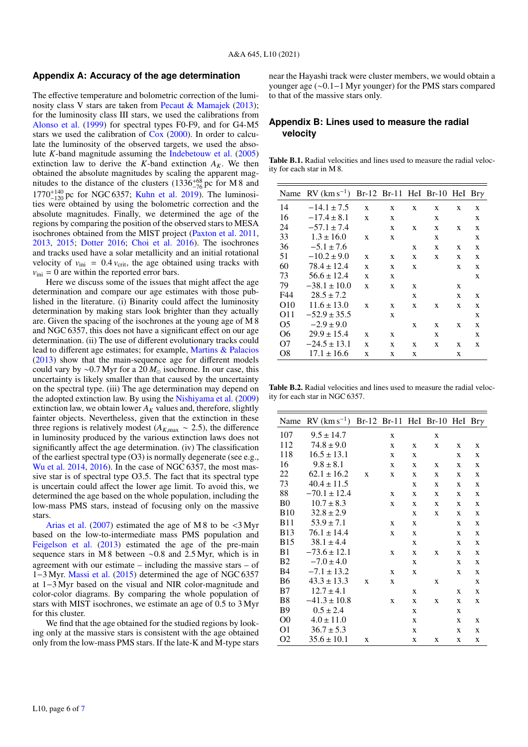### <span id="page-6-0"></span>**Appendix A: Accuracy of the age determination**

The effective temperature and bolometric correction of the luminosity class V stars are taken from [Pecaut & Mamajek](#page-5-59) [\(2013\)](#page-5-59); for the luminosity class III stars, we used the calibrations from [Alonso et al.](#page-5-60) [\(1999\)](#page-5-60) for spectral types F0-F9, and for G4-M5 stars we used the calibration of [Cox](#page-5-61) [\(2000\)](#page-5-61). In order to calculate the luminosity of the observed targets, we used the absolute *K*-band magnitude assuming the [Indebetouw et al.](#page-5-62) [\(2005\)](#page-5-62) extinction law to derive the *K*-band extinction  $A_K$ . We then obtained the absolute magnitudes by scaling the apparent magnitudes to the distance of the clusters  $(1336^{+68}_{-76})$  pc for M 8 and  $1770^{+140}_{-120}$  pc for NGC 6357; [Kuhn et al.](#page-5-49) [2019\)](#page-5-49). The luminosities were obtained by using the bolometric correction and the absolute magnitudes. Finally, we determined the age of the regions by comparing the position of the observed stars to MESA isochrones obtained from the MIST project [\(Paxton et al.](#page-5-31) [2011,](#page-5-31) [2013,](#page-5-32) [2015;](#page-5-33) [Dotter](#page-5-34) [2016;](#page-5-34) [Choi et al.](#page-5-35) [2016\)](#page-5-35). The isochrones and tracks used have a solar metallicity and an initial rotational velocity of  $v_{\text{ini}} = 0.4 v_{\text{crit}}$ , the age obtained using tracks with  $v_{\text{ini}} = 0$  are within the reported error bars.

Here we discuss some of the issues that might affect the age determination and compare our age estimates with those published in the literature. (i) Binarity could affect the luminosity determination by making stars look brighter than they actually are. Given the spacing of the isochrones at the young age of M 8 and NGC 6357, this does not have a significant effect on our age determination. (ii) The use of different evolutionary tracks could lead to different age estimates; for example, [Martins & Palacios](#page-5-63) [\(2013\)](#page-5-63) show that the main-sequence age for different models could vary by ~0.7 Myr for a 20  $M_{\odot}$  isochrone. In our case, this uncertainty is likely smaller than that caused by the uncertainty on the spectral type. (iii) The age determination may depend on the adopted extinction law. By using the [Nishiyama et al.](#page-5-64) [\(2009\)](#page-5-64) extinction law, we obtain lower  $A_K$  values and, therefore, slightly fainter objects. Nevertheless, given that the extinction in these three regions is relatively modest ( $A_{K,\text{max}} \sim 2.5$ ), the difference in luminosity produced by the various extinction laws does not significantly affect the age determination. (iv) The classification of the earliest spectral type (O3) is normally degenerate (see e.g., [Wu et al.](#page-5-65) [2014,](#page-5-65) [2016\)](#page-5-66). In the case of NGC 6357, the most massive star is of spectral type O3.5. The fact that its spectral type is uncertain could affect the lower age limit. To avoid this, we determined the age based on the whole population, including the low-mass PMS stars, instead of focusing only on the massive stars.

[Arias et al.](#page-5-67)  $(2007)$  estimated the age of M 8 to be <3 Myr based on the low-to-intermediate mass PMS population and [Feigelson et al.](#page-5-68) [\(2013\)](#page-5-68) estimated the age of the pre-main sequence stars in M 8 between ∼0.8 and 2.5 Myr, which is in agreement with our estimate – including the massive stars – of 1−3 Myr. [Massi et al.](#page-5-69) [\(2015\)](#page-5-69) determined the age of NGC 6357 at 1−3 Myr based on the visual and NIR color-magnitude and color-color diagrams. By comparing the whole population of stars with MIST isochrones, we estimate an age of 0.5 to 3 Myr for this cluster.

We find that the age obtained for the studied regions by looking only at the massive stars is consistent with the age obtained only from the low-mass PMS stars. If the late-K and M-type stars near the Hayashi track were cluster members, we would obtain a younger age (∼0.1−1 Myr younger) for the PMS stars compared to that of the massive stars only.

## **Appendix B: Lines used to measure the radial velocity**

<span id="page-6-1"></span>Table B.1. Radial velocities and lines used to measure the radial velocity for each star in M 8.

| Name           | $RV$ (km s <sup>-1</sup> ) |   |   |   | Br-12 Br-11 HeI Br-10 HeI Bry |   |   |
|----------------|----------------------------|---|---|---|-------------------------------|---|---|
| 14             | $-14.1 \pm 7.5$            | X | X | X | X                             | X | X |
| 16             | $-17.4 \pm 8.1$            | X | X |   | X                             |   | X |
| 24             | $-57.1 \pm 7.4$            |   | X | X | X                             | X | X |
| 33             | $1.3 \pm 16.0$             | X | X |   | X                             |   | X |
| 36             | $-5.1 \pm 7.6$             |   |   | X | X                             | X | X |
| 51             | $-10.2 \pm 9.0$            | X | X | X | X                             | X | X |
| 60             | $78.4 \pm 12.4$            | X | X | X |                               | X | X |
| 73             | $56.6 \pm 12.4$            | X | X |   |                               |   | X |
| 79             | $-38.1 \pm 10.0$           | X | X | X |                               | X |   |
| F44            | $28.5 \pm 7.2$             |   |   | X |                               | X | X |
| O10            | $11.6 \pm 13.0$            | X | X | X | X                             | X | X |
| O11            | $-52.9 \pm 35.5$           |   | X |   |                               |   | X |
| O <sub>5</sub> | $-2.9 \pm 9.0$             |   |   | X | X                             | X | X |
| Ο6             | $29.9 \pm 15.4$            | X | X |   | X                             |   | X |
| O7             | $-24.5 \pm 13.1$           | X | X | X | X                             | X | X |
| O8             | $17.1 \pm 16.6$            | X | X | X |                               | X |   |

<span id="page-6-2"></span>Table B.2. Radial velocities and lines used to measure the radial velocity for each star in NGC 6357.

| Name           | $RV$ (km s <sup>-1</sup> ) |   |   |   | Br-12 Br-11 HeI Br-10 HeI |   | $Br\gamma$ |
|----------------|----------------------------|---|---|---|---------------------------|---|------------|
| 107            | $9.5 \pm 14.7$             |   | X |   | X                         |   |            |
| 112            | $74.8 \pm 9.0$             |   | X | X | X                         | X | X          |
| 118            | $16.5 \pm 13.1$            |   | X | X |                           | X | X          |
| 16             | $9.8 \pm 8.1$              |   | X | X | X                         | X | X          |
| 22             | $62.1 \pm 16.2$            | X | X | X | X                         | X | X          |
| 73             | $40.4 \pm 11.5$            |   |   | X | X                         | X | X          |
| 88             | $-70.1 \pm 12.4$           |   | X | X | X                         | X | X          |
| B <sub>0</sub> | $10.7 \pm 8.3$             |   | X | X | X                         | X | X          |
| <b>B10</b>     | $32.8 \pm 2.9$             |   |   | X | X                         | X | X          |
| <b>B11</b>     | $53.9 \pm 7.1$             |   | X | X |                           | X | X          |
| <b>B</b> 13    | $76.1 \pm 14.4$            |   | X | X |                           | X | X          |
| <b>B</b> 15    | $38.1 \pm 4.4$             |   |   | X |                           | X | X          |
| B <sub>1</sub> | $-73.6 \pm 12.1$           |   | X | X | X                         | X | X          |
| <b>B2</b>      | $-7.0 \pm 4.0$             |   |   | X |                           | X | X          |
| B4             | $-7.1 \pm 13.2$            |   | X | X |                           | X | X          |
| B6             | $43.3 \pm 13.3$            | X | X |   | X                         |   | X          |
| B7             | $12.7 \pm 4.1$             |   |   | X |                           | X | X          |
| B8             | $-41.3 \pm 10.8$           |   | X | X | X                         | X | X          |
| <b>B</b> 9     | $0.5 \pm 2.4$              |   |   | X |                           | X |            |
| O <sub>0</sub> | $4.0 \pm 11.0$             |   |   | X |                           | X | X          |
| O1             | $36.7 \pm 5.3$             |   |   | X |                           | X | X          |
| O2             | $35.6 \pm 10.1$            | X |   | X | X                         | X | X          |